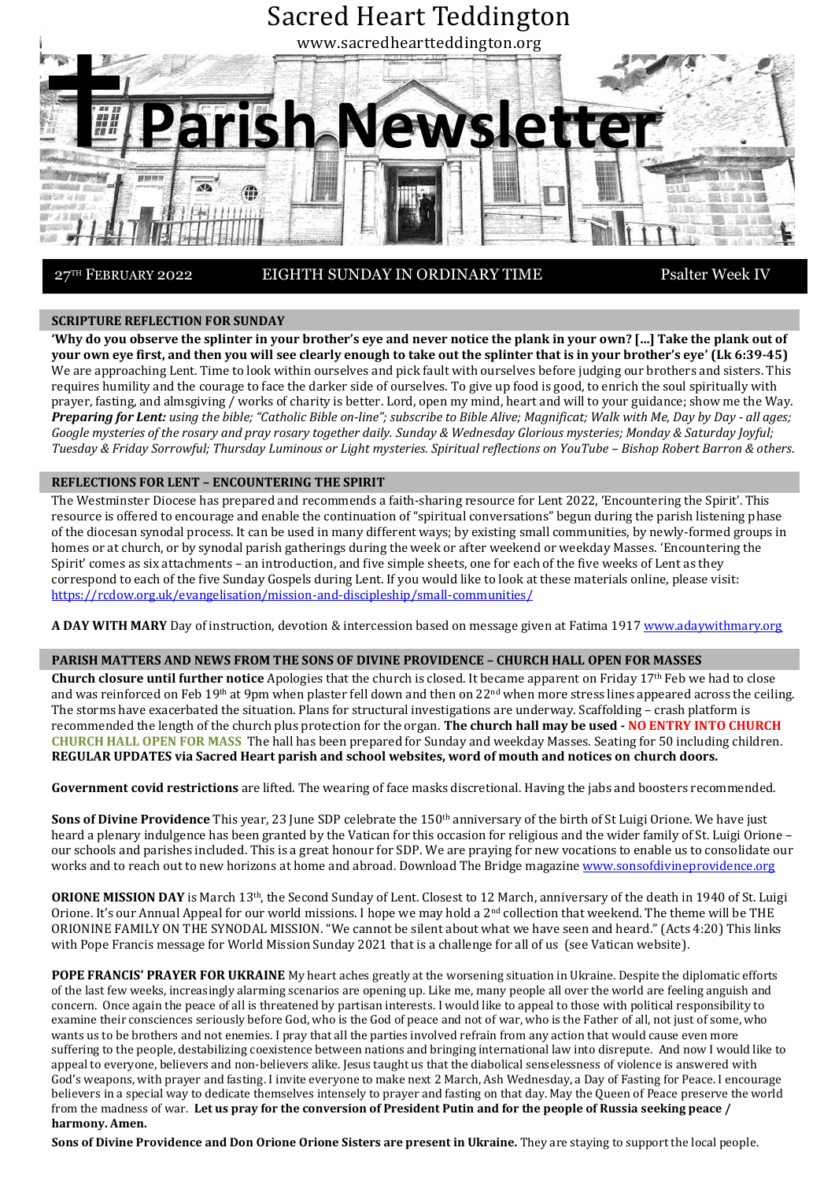

27TH FEBRUARY 2022

EIGHTH SUNDAY IN ORDINARY TIME Psalter Week IV

# **SCRIPTURE REFLECTION FOR SUNDAY**

**'Why do you observe the splinter in your brother's eye and never notice the plank in your own? […] Take the plank out of your own eye first, and then you will see clearly enough to take out the splinter that is in your brother's eye' (Lk 6:39-45)** We are approaching Lent. Time to look within ourselves and pick fault with ourselves before judging our brothers and sisters. This requires humility and the courage to face the darker side of ourselves. To give up food is good, to enrich the soul spiritually with prayer, fasting, and almsgiving / works of charity is better. Lord, open my mind, heart and will to your guidance; show me the Way. Preparing for Lent: using the bible; "Catholic Bible on-line"; subscribe to Bible Alive; Magnificat; Walk with Me, Day by Day - all ages; *Google mysteries of the rosary and pray rosary together daily. Sunday & Wednesday Glorious mysteries; Monday & Saturday Joyful; Tuesday & Friday Sorrowful; Thursday Luminous or Light mysteries. Spiritual reflections on YouTube – Bishop Robert Barron & others.*

### **REFLECTIONS FOR LENT – ENCOUNTERING THE SPIRIT**

The Westminster Diocese has prepared and recommends a faith-sharing resource for Lent 2022, 'Encountering the Spirit'. This resource is offered to encourage and enable the continuation of "spiritual conversations" begun during the parish listening phase of the diocesan synodal process. It can be used in many different ways; by existing small communities, by newly-formed groups in homes or at church, or by synodal parish gatherings during the week or after weekend or weekday Masses. 'Encountering the Spirit' comes as six attachments – an introduction, and five simple sheets, one for each of the five weeks of Lent as they correspond to each of the five Sunday Gospels during Lent. If you would like to look at these materials online, please visit: <https://rcdow.org.uk/evangelisation/mission-and-discipleship/small-communities/>

**A DAY WITH MARY** Day of instruction, devotion & intercession based on message given at Fatima 1917 [www.adaywithmary.org](http://www.adaywithmary.org/)

# **PARISH MATTERS AND NEWS FROM THE SONS OF DIVINE PROVIDENCE – CHURCH HALL OPEN FOR MASSES**

**Church closure until further notice** Apologies that the church is closed. It became apparent on Friday 17th Feb we had to close and was reinforced on Feb 19<sup>th</sup> at 9pm when plaster fell down and then on 22<sup>nd</sup> when more stress lines appeared across the ceiling. The storms have exacerbated the situation. Plans for structural investigations are underway. Scaffolding – crash platform is recommended the length of the church plus protection for the organ. **The church hall may be used - NO ENTRY INTO CHURCH CHURCH HALL OPEN FOR MASS** The hall has been prepared for Sunday and weekday Masses. Seating for 50 including children. **REGULAR UPDATES via Sacred Heart parish and school websites, word of mouth and notices on church doors.**

**Government covid restrictions** are lifted. The wearing of face masks discretional. Having the jabs and boosters recommended.

**Sons of Divine Providence** This year, 23 June SDP celebrate the 150th anniversary of the birth of St Luigi Orione. We have just heard a plenary indulgence has been granted by the Vatican for this occasion for religious and the wider family of St. Luigi Orione – our schools and parishes included. This is a great honour for SDP. We are praying for new vocations to enable us to consolidate our works and to reach out to new horizons at home and abroad. Download The Bridge magazine [www.sonsofdivineprovidence.org](http://www.sonsofdivineprovidence.org/)

**ORIONE MISSION DAY** is March 13th, the Second Sunday of Lent. Closest to 12 March, anniversary of the death in 1940 of St. Luigi Orione. It's our Annual Appeal for our world missions. I hope we may hold a 2<sup>nd</sup> collection that weekend. The theme will be THE ORIONINE FAMILY ON THE SYNODAL MISSION. "We cannot be silent about what we have seen and heard." (Acts 4:20) This links with Pope Francis message for World Mission Sunday 2021 that is a challenge for all of us (see Vatican website).

**POPE FRANCIS' PRAYER FOR UKRAINE** My heart aches greatly at the worsening situation in Ukraine. Despite the diplomatic efforts of the last few weeks, increasingly alarming scenarios are opening up. Like me, many people all over the world are feeling anguish and concern. Once again the peace of all is threatened by partisan interests. I would like to appeal to those with political responsibility to examine their consciences seriously before God, who is the God of peace and not of war, who is the Father of all, not just of some, who wants us to be brothers and not enemies. I pray that all the parties involved refrain from any action that would cause even more suffering to the people, destabilizing coexistence between nations and bringing international law into disrepute. And now I would like to appeal to everyone, believers and non-believers alike. Jesus taught us that the diabolical senselessness of violence is answered with God's weapons, with prayer and fasting. I invite everyone to make next 2 March, Ash Wednesday, a Day of Fasting for Peace. I encourage believers in a special way to dedicate themselves intensely to prayer and fasting on that day. May the Queen of Peace preserve the world from the madness of war. **Let us pray for the conversion of President Putin and for the people of Russia seeking peace / harmony. Amen.**

**Sons of Divine Providence and Don Orione Orione Sisters are present in Ukraine.** They are staying to support the local people.